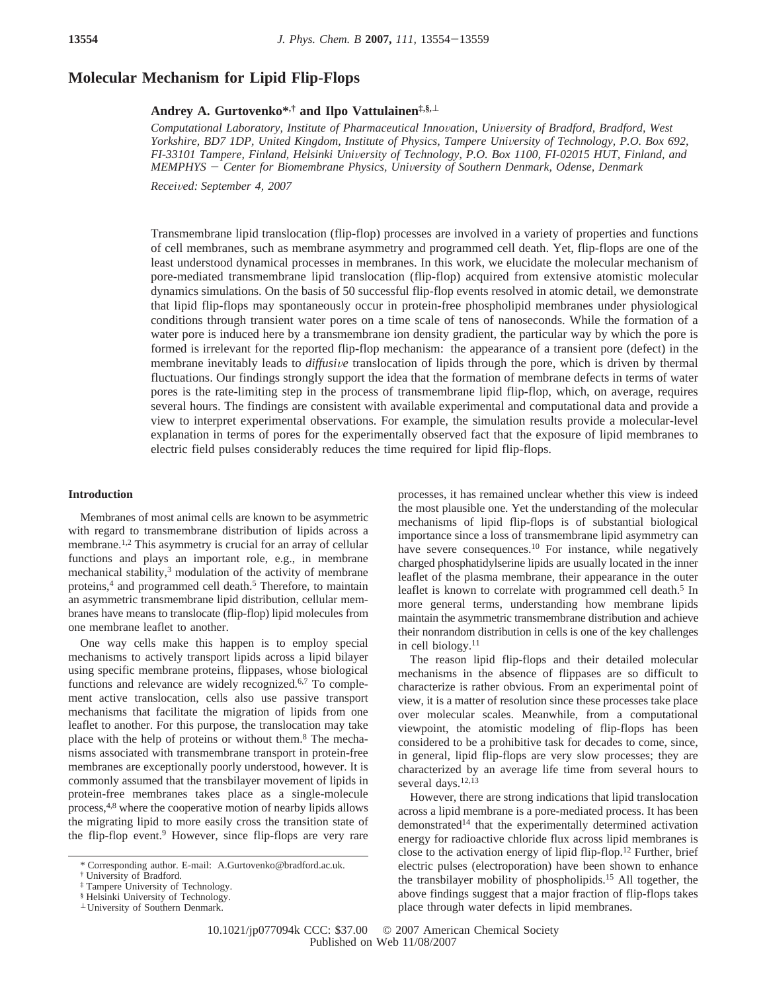# **Molecular Mechanism for Lipid Flip-Flops**

# **Andrey A. Gurtovenko\*,† and Ilpo Vattulainen‡,§,**<sup>⊥</sup>

*Computational Laboratory, Institute of Pharmaceutical Inno*V*ation, Uni*V*ersity of Bradford, Bradford, West Yorkshire, BD7 1DP, United Kingdom, Institute of Physics, Tampere University of Technology, P.O. Box 692, FI-33101 Tampere, Finland, Helsinki University of Technology, P.O. Box 1100, FI-02015 HUT, Finland, and MEMPHYS* - *Center for Biomembrane Physics, Uni*V*ersity of Southern Denmark, Odense, Denmark*

*Recei*V*ed: September 4, 2007*

Transmembrane lipid translocation (flip-flop) processes are involved in a variety of properties and functions of cell membranes, such as membrane asymmetry and programmed cell death. Yet, flip-flops are one of the least understood dynamical processes in membranes. In this work, we elucidate the molecular mechanism of pore-mediated transmembrane lipid translocation (flip-flop) acquired from extensive atomistic molecular dynamics simulations. On the basis of 50 successful flip-flop events resolved in atomic detail, we demonstrate that lipid flip-flops may spontaneously occur in protein-free phospholipid membranes under physiological conditions through transient water pores on a time scale of tens of nanoseconds. While the formation of a water pore is induced here by a transmembrane ion density gradient, the particular way by which the pore is formed is irrelevant for the reported flip-flop mechanism: the appearance of a transient pore (defect) in the membrane inevitably leads to *diffusive* translocation of lipids through the pore, which is driven by thermal fluctuations. Our findings strongly support the idea that the formation of membrane defects in terms of water pores is the rate-limiting step in the process of transmembrane lipid flip-flop, which, on average, requires several hours. The findings are consistent with available experimental and computational data and provide a view to interpret experimental observations. For example, the simulation results provide a molecular-level explanation in terms of pores for the experimentally observed fact that the exposure of lipid membranes to electric field pulses considerably reduces the time required for lipid flip-flops.

# **Introduction**

Membranes of most animal cells are known to be asymmetric with regard to transmembrane distribution of lipids across a membrane.1,2 This asymmetry is crucial for an array of cellular functions and plays an important role, e.g., in membrane mechanical stability, $3$  modulation of the activity of membrane proteins,<sup>4</sup> and programmed cell death.<sup>5</sup> Therefore, to maintain an asymmetric transmembrane lipid distribution, cellular membranes have means to translocate (flip-flop) lipid molecules from one membrane leaflet to another.

One way cells make this happen is to employ special mechanisms to actively transport lipids across a lipid bilayer using specific membrane proteins, flippases, whose biological functions and relevance are widely recognized.<sup>6,7</sup> To complement active translocation, cells also use passive transport mechanisms that facilitate the migration of lipids from one leaflet to another. For this purpose, the translocation may take place with the help of proteins or without them.8 The mechanisms associated with transmembrane transport in protein-free membranes are exceptionally poorly understood, however. It is commonly assumed that the transbilayer movement of lipids in protein-free membranes takes place as a single-molecule process,4,8 where the cooperative motion of nearby lipids allows the migrating lipid to more easily cross the transition state of the flip-flop event.<sup>9</sup> However, since flip-flops are very rare

processes, it has remained unclear whether this view is indeed the most plausible one. Yet the understanding of the molecular mechanisms of lipid flip-flops is of substantial biological importance since a loss of transmembrane lipid asymmetry can have severe consequences.<sup>10</sup> For instance, while negatively charged phosphatidylserine lipids are usually located in the inner leaflet of the plasma membrane, their appearance in the outer leaflet is known to correlate with programmed cell death.<sup>5</sup> In more general terms, understanding how membrane lipids maintain the asymmetric transmembrane distribution and achieve their nonrandom distribution in cells is one of the key challenges in cell biology. $11$ 

The reason lipid flip-flops and their detailed molecular mechanisms in the absence of flippases are so difficult to characterize is rather obvious. From an experimental point of view, it is a matter of resolution since these processes take place over molecular scales. Meanwhile, from a computational viewpoint, the atomistic modeling of flip-flops has been considered to be a prohibitive task for decades to come, since, in general, lipid flip-flops are very slow processes; they are characterized by an average life time from several hours to several days.<sup>12,13</sup>

However, there are strong indications that lipid translocation across a lipid membrane is a pore-mediated process. It has been demonstrated<sup>14</sup> that the experimentally determined activation energy for radioactive chloride flux across lipid membranes is close to the activation energy of lipid flip-flop.12 Further, brief electric pulses (electroporation) have been shown to enhance the transbilayer mobility of phospholipids.15 All together, the above findings suggest that a major fraction of flip-flops takes place through water defects in lipid membranes.

<sup>\*</sup> Corresponding author. E-mail: A.Gurtovenko@bradford.ac.uk.

<sup>†</sup> University of Bradford.

<sup>‡</sup> Tampere University of Technology.

<sup>§</sup> Helsinki University of Technology.

<sup>⊥</sup> University of Southern Denmark.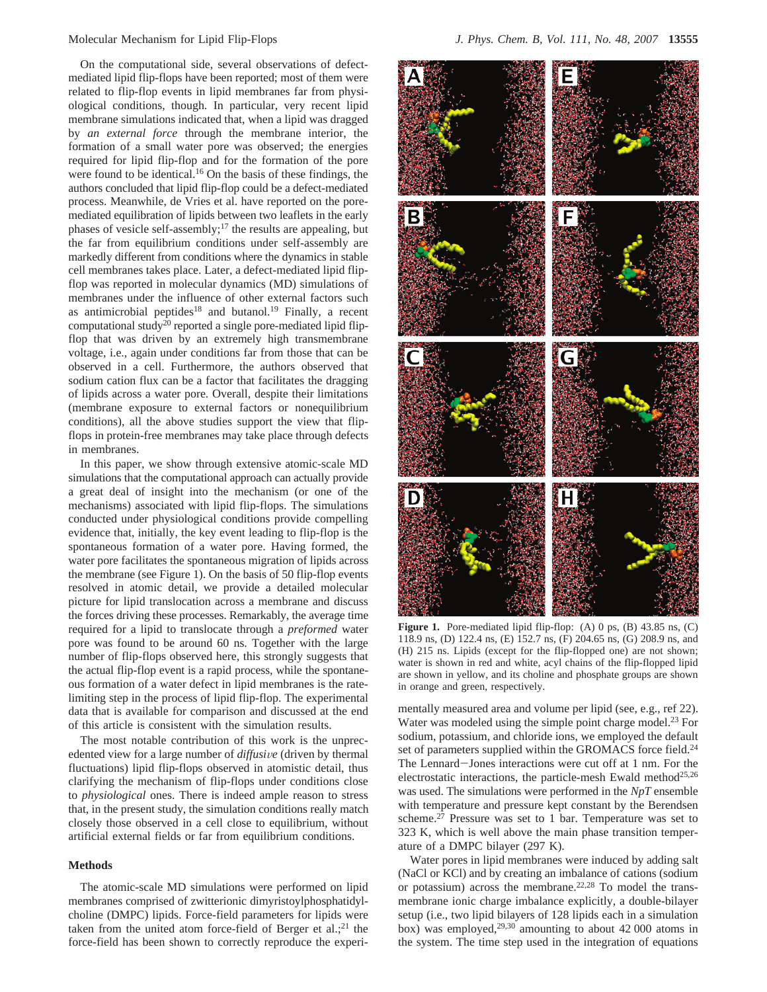On the computational side, several observations of defectmediated lipid flip-flops have been reported; most of them were related to flip-flop events in lipid membranes far from physiological conditions, though. In particular, very recent lipid membrane simulations indicated that, when a lipid was dragged by *an external force* through the membrane interior, the formation of a small water pore was observed; the energies required for lipid flip-flop and for the formation of the pore were found to be identical.<sup>16</sup> On the basis of these findings, the authors concluded that lipid flip-flop could be a defect-mediated process. Meanwhile, de Vries et al. have reported on the poremediated equilibration of lipids between two leaflets in the early phases of vesicle self-assembly;17 the results are appealing, but the far from equilibrium conditions under self-assembly are markedly different from conditions where the dynamics in stable cell membranes takes place. Later, a defect-mediated lipid flipflop was reported in molecular dynamics (MD) simulations of membranes under the influence of other external factors such as antimicrobial peptides<sup>18</sup> and butanol.<sup>19</sup> Finally, a recent computational study<sup>20</sup> reported a single pore-mediated lipid flipflop that was driven by an extremely high transmembrane voltage, i.e., again under conditions far from those that can be observed in a cell. Furthermore, the authors observed that sodium cation flux can be a factor that facilitates the dragging of lipids across a water pore. Overall, despite their limitations (membrane exposure to external factors or nonequilibrium conditions), all the above studies support the view that flipflops in protein-free membranes may take place through defects in membranes.

In this paper, we show through extensive atomic-scale MD simulations that the computational approach can actually provide a great deal of insight into the mechanism (or one of the mechanisms) associated with lipid flip-flops. The simulations conducted under physiological conditions provide compelling evidence that, initially, the key event leading to flip-flop is the spontaneous formation of a water pore. Having formed, the water pore facilitates the spontaneous migration of lipids across the membrane (see Figure 1). On the basis of 50 flip-flop events resolved in atomic detail, we provide a detailed molecular picture for lipid translocation across a membrane and discuss the forces driving these processes. Remarkably, the average time required for a lipid to translocate through a *preformed* water pore was found to be around 60 ns. Together with the large number of flip-flops observed here, this strongly suggests that the actual flip-flop event is a rapid process, while the spontaneous formation of a water defect in lipid membranes is the ratelimiting step in the process of lipid flip-flop. The experimental data that is available for comparison and discussed at the end of this article is consistent with the simulation results.

The most notable contribution of this work is the unprecedented view for a large number of *diffusive* (driven by thermal fluctuations) lipid flip-flops observed in atomistic detail, thus clarifying the mechanism of flip-flops under conditions close to *physiological* ones. There is indeed ample reason to stress that, in the present study, the simulation conditions really match closely those observed in a cell close to equilibrium, without artificial external fields or far from equilibrium conditions.

### **Methods**

The atomic-scale MD simulations were performed on lipid membranes comprised of zwitterionic dimyristoylphosphatidylcholine (DMPC) lipids. Force-field parameters for lipids were taken from the united atom force-field of Berger et al.; $^{21}$  the force-field has been shown to correctly reproduce the experi-



**Figure 1.** Pore-mediated lipid flip-flop: (A) 0 ps, (B) 43.85 ns, (C) 118.9 ns, (D) 122.4 ns, (E) 152.7 ns, (F) 204.65 ns, (G) 208.9 ns, and (H) 215 ns. Lipids (except for the flip-flopped one) are not shown; water is shown in red and white, acyl chains of the flip-flopped lipid are shown in yellow, and its choline and phosphate groups are shown in orange and green, respectively.

mentally measured area and volume per lipid (see, e.g., ref 22). Water was modeled using the simple point charge model.<sup>23</sup> For sodium, potassium, and chloride ions, we employed the default set of parameters supplied within the GROMACS force field.<sup>24</sup> The Lennard-Jones interactions were cut off at 1 nm. For the electrostatic interactions, the particle-mesh Ewald method<sup>25,26</sup> was used. The simulations were performed in the *NpT* ensemble with temperature and pressure kept constant by the Berendsen scheme.<sup>27</sup> Pressure was set to 1 bar. Temperature was set to 323 K, which is well above the main phase transition temperature of a DMPC bilayer (297 K).

Water pores in lipid membranes were induced by adding salt (NaCl or KCl) and by creating an imbalance of cations (sodium or potassium) across the membrane.22,28 To model the transmembrane ionic charge imbalance explicitly, a double-bilayer setup (i.e., two lipid bilayers of 128 lipids each in a simulation box) was employed, $29,30$  amounting to about 42 000 atoms in the system. The time step used in the integration of equations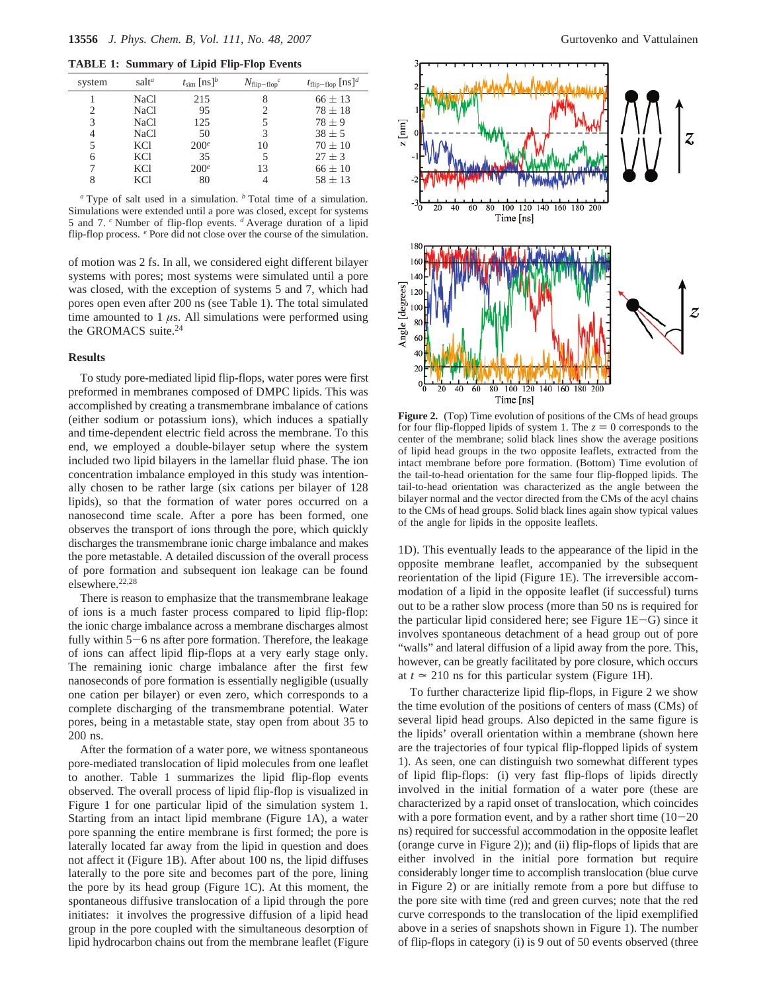**TABLE 1: Summary of Lipid Flip-Flop Events**

| system | salt <sup>a</sup> | $t_{\text{sim}}$ [ns] <sup>b</sup> | $N_{\text{flip-flop}}^c$ | $t_{\rm flip-flop}$ [ns] <sup>d</sup> |
|--------|-------------------|------------------------------------|--------------------------|---------------------------------------|
|        | NaCl              | 215                                | 8                        | $66 \pm 13$                           |
| 2      | <b>NaCl</b>       | 95                                 | 2                        | $78 \pm 18$                           |
| 3      | <b>NaCl</b>       | 125                                | 5                        | $78 \pm 9$                            |
| 4      | <b>NaCl</b>       | 50                                 | 3                        | $38 \pm 5$                            |
| 5      | <b>KCl</b>        | 200 <sup>e</sup>                   | 10                       | $70 \pm 10$                           |
| 6      | KCl               | 35                                 | 5                        | $27 \pm 3$                            |
| 7      | <b>KCI</b>        | 200 <sup>e</sup>                   | 13                       | $66 \pm 10$                           |
| 8      | <b>KCl</b>        | 80                                 |                          | $58 \pm 13$                           |
|        |                   |                                    |                          |                                       |

*<sup>a</sup>* Type of salt used in a simulation. *<sup>b</sup>* Total time of a simulation. Simulations were extended until a pore was closed, except for systems 5 and 7. *<sup>c</sup>* Number of flip-flop events. *<sup>d</sup>* Average duration of a lipid flip-flop process. *<sup>e</sup>* Pore did not close over the course of the simulation.

of motion was 2 fs. In all, we considered eight different bilayer systems with pores; most systems were simulated until a pore was closed, with the exception of systems 5 and 7, which had pores open even after 200 ns (see Table 1). The total simulated time amounted to  $1 \mu s$ . All simulations were performed using the GROMACS suite.<sup>24</sup>

# **Results**

To study pore-mediated lipid flip-flops, water pores were first preformed in membranes composed of DMPC lipids. This was accomplished by creating a transmembrane imbalance of cations (either sodium or potassium ions), which induces a spatially and time-dependent electric field across the membrane. To this end, we employed a double-bilayer setup where the system included two lipid bilayers in the lamellar fluid phase. The ion concentration imbalance employed in this study was intentionally chosen to be rather large (six cations per bilayer of 128 lipids), so that the formation of water pores occurred on a nanosecond time scale. After a pore has been formed, one observes the transport of ions through the pore, which quickly discharges the transmembrane ionic charge imbalance and makes the pore metastable. A detailed discussion of the overall process of pore formation and subsequent ion leakage can be found elsewhere.22,28

There is reason to emphasize that the transmembrane leakage of ions is a much faster process compared to lipid flip-flop: the ionic charge imbalance across a membrane discharges almost fully within 5-6 ns after pore formation. Therefore, the leakage of ions can affect lipid flip-flops at a very early stage only. The remaining ionic charge imbalance after the first few nanoseconds of pore formation is essentially negligible (usually one cation per bilayer) or even zero, which corresponds to a complete discharging of the transmembrane potential. Water pores, being in a metastable state, stay open from about 35 to 200 ns.

After the formation of a water pore, we witness spontaneous pore-mediated translocation of lipid molecules from one leaflet to another. Table 1 summarizes the lipid flip-flop events observed. The overall process of lipid flip-flop is visualized in Figure 1 for one particular lipid of the simulation system 1. Starting from an intact lipid membrane (Figure 1A), a water pore spanning the entire membrane is first formed; the pore is laterally located far away from the lipid in question and does not affect it (Figure 1B). After about 100 ns, the lipid diffuses laterally to the pore site and becomes part of the pore, lining the pore by its head group (Figure 1C). At this moment, the spontaneous diffusive translocation of a lipid through the pore initiates: it involves the progressive diffusion of a lipid head group in the pore coupled with the simultaneous desorption of lipid hydrocarbon chains out from the membrane leaflet (Figure



**Figure 2.** (Top) Time evolution of positions of the CMs of head groups for four flip-flopped lipids of system 1. The  $z = 0$  corresponds to the center of the membrane; solid black lines show the average positions of lipid head groups in the two opposite leaflets, extracted from the intact membrane before pore formation. (Bottom) Time evolution of the tail-to-head orientation for the same four flip-flopped lipids. The tail-to-head orientation was characterized as the angle between the bilayer normal and the vector directed from the CMs of the acyl chains to the CMs of head groups. Solid black lines again show typical values of the angle for lipids in the opposite leaflets.

1D). This eventually leads to the appearance of the lipid in the opposite membrane leaflet, accompanied by the subsequent reorientation of the lipid (Figure 1E). The irreversible accommodation of a lipid in the opposite leaflet (if successful) turns out to be a rather slow process (more than 50 ns is required for the particular lipid considered here; see Figure  $1E-G$ ) since it involves spontaneous detachment of a head group out of pore "walls" and lateral diffusion of a lipid away from the pore. This, however, can be greatly facilitated by pore closure, which occurs at  $t \approx 210$  ns for this particular system (Figure 1H).

To further characterize lipid flip-flops, in Figure 2 we show the time evolution of the positions of centers of mass (CMs) of several lipid head groups. Also depicted in the same figure is the lipids' overall orientation within a membrane (shown here are the trajectories of four typical flip-flopped lipids of system 1). As seen, one can distinguish two somewhat different types of lipid flip-flops: (i) very fast flip-flops of lipids directly involved in the initial formation of a water pore (these are characterized by a rapid onset of translocation, which coincides with a pore formation event, and by a rather short time  $(10-20)$ ns) required for successful accommodation in the opposite leaflet (orange curve in Figure 2)); and (ii) flip-flops of lipids that are either involved in the initial pore formation but require considerably longer time to accomplish translocation (blue curve in Figure 2) or are initially remote from a pore but diffuse to the pore site with time (red and green curves; note that the red curve corresponds to the translocation of the lipid exemplified above in a series of snapshots shown in Figure 1). The number of flip-flops in category (i) is 9 out of 50 events observed (three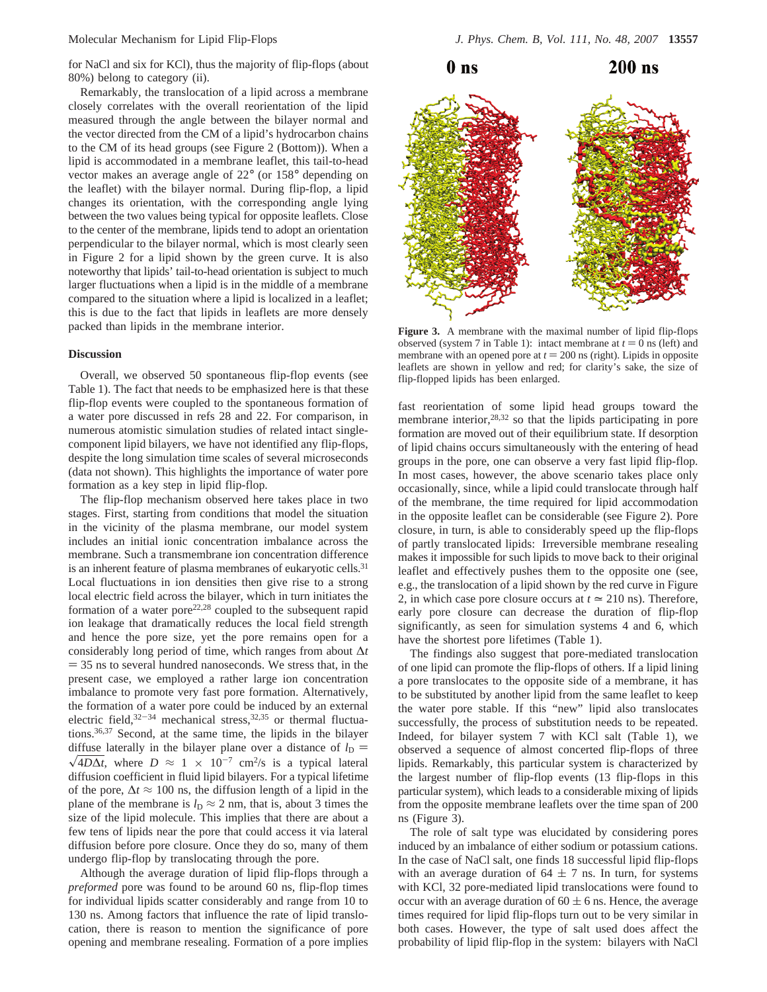for NaCl and six for KCl), thus the majority of flip-flops (about 80%) belong to category (ii).

Remarkably, the translocation of a lipid across a membrane closely correlates with the overall reorientation of the lipid measured through the angle between the bilayer normal and the vector directed from the CM of a lipid's hydrocarbon chains to the CM of its head groups (see Figure 2 (Bottom)). When a lipid is accommodated in a membrane leaflet, this tail-to-head vector makes an average angle of 22° (or 158° depending on the leaflet) with the bilayer normal. During flip-flop, a lipid changes its orientation, with the corresponding angle lying between the two values being typical for opposite leaflets. Close to the center of the membrane, lipids tend to adopt an orientation perpendicular to the bilayer normal, which is most clearly seen in Figure 2 for a lipid shown by the green curve. It is also noteworthy that lipids' tail-to-head orientation is subject to much larger fluctuations when a lipid is in the middle of a membrane compared to the situation where a lipid is localized in a leaflet; this is due to the fact that lipids in leaflets are more densely packed than lipids in the membrane interior.

# **Discussion**

Overall, we observed 50 spontaneous flip-flop events (see Table 1). The fact that needs to be emphasized here is that these flip-flop events were coupled to the spontaneous formation of a water pore discussed in refs 28 and 22. For comparison, in numerous atomistic simulation studies of related intact singlecomponent lipid bilayers, we have not identified any flip-flops, despite the long simulation time scales of several microseconds (data not shown). This highlights the importance of water pore formation as a key step in lipid flip-flop.

The flip-flop mechanism observed here takes place in two stages. First, starting from conditions that model the situation in the vicinity of the plasma membrane, our model system includes an initial ionic concentration imbalance across the membrane. Such a transmembrane ion concentration difference is an inherent feature of plasma membranes of eukaryotic cells.<sup>31</sup> Local fluctuations in ion densities then give rise to a strong local electric field across the bilayer, which in turn initiates the formation of a water pore<sup>22,28</sup> coupled to the subsequent rapid ion leakage that dramatically reduces the local field strength and hence the pore size, yet the pore remains open for a considerably long period of time, which ranges from about ∆*t*  $=$  35 ns to several hundred nanoseconds. We stress that, in the present case, we employed a rather large ion concentration imbalance to promote very fast pore formation. Alternatively, the formation of a water pore could be induced by an external electric field, $32-34$  mechanical stress, $32,35$  or thermal fluctuations.36,37 Second, at the same time, the lipids in the bilayer diffuse laterally in the bilayer plane over a distance of  $l_D$  =  $\sqrt{4D\Delta t}$ , where  $D \approx 1 \times 10^{-7}$  cm<sup>2</sup>/s is a typical lateral diffusion coefficient in fluid lipid bilayers. For a typical lifetime of the pore,  $\Delta t \approx 100$  ns, the diffusion length of a lipid in the plane of the membrane is  $l_{\text{D}} \approx 2$  nm, that is, about 3 times the size of the lipid molecule. This implies that there are about a few tens of lipids near the pore that could access it via lateral diffusion before pore closure. Once they do so, many of them undergo flip-flop by translocating through the pore.

Although the average duration of lipid flip-flops through a *preformed* pore was found to be around 60 ns, flip-flop times for individual lipids scatter considerably and range from 10 to 130 ns. Among factors that influence the rate of lipid translocation, there is reason to mention the significance of pore opening and membrane resealing. Formation of a pore implies

200 ns



0 ns

**Figure 3.** A membrane with the maximal number of lipid flip-flops observed (system 7 in Table 1): intact membrane at  $t = 0$  ns (left) and membrane with an opened pore at  $t = 200$  ns (right). Lipids in opposite leaflets are shown in yellow and red; for clarity's sake, the size of flip-flopped lipids has been enlarged.

fast reorientation of some lipid head groups toward the membrane interior,<sup>28,32</sup> so that the lipids participating in pore formation are moved out of their equilibrium state. If desorption of lipid chains occurs simultaneously with the entering of head groups in the pore, one can observe a very fast lipid flip-flop. In most cases, however, the above scenario takes place only occasionally, since, while a lipid could translocate through half of the membrane, the time required for lipid accommodation in the opposite leaflet can be considerable (see Figure 2). Pore closure, in turn, is able to considerably speed up the flip-flops of partly translocated lipids: Irreversible membrane resealing makes it impossible for such lipids to move back to their original leaflet and effectively pushes them to the opposite one (see, e.g., the translocation of a lipid shown by the red curve in Figure 2, in which case pore closure occurs at  $t \approx 210$  ns). Therefore, early pore closure can decrease the duration of flip-flop significantly, as seen for simulation systems 4 and 6, which have the shortest pore lifetimes (Table 1).

The findings also suggest that pore-mediated translocation of one lipid can promote the flip-flops of others. If a lipid lining a pore translocates to the opposite side of a membrane, it has to be substituted by another lipid from the same leaflet to keep the water pore stable. If this "new" lipid also translocates successfully, the process of substitution needs to be repeated. Indeed, for bilayer system 7 with KCl salt (Table 1), we observed a sequence of almost concerted flip-flops of three lipids. Remarkably, this particular system is characterized by the largest number of flip-flop events (13 flip-flops in this particular system), which leads to a considerable mixing of lipids from the opposite membrane leaflets over the time span of 200 ns (Figure 3).

The role of salt type was elucidated by considering pores induced by an imbalance of either sodium or potassium cations. In the case of NaCl salt, one finds 18 successful lipid flip-flops with an average duration of  $64 \pm 7$  ns. In turn, for systems with KCl, 32 pore-mediated lipid translocations were found to occur with an average duration of  $60 \pm 6$  ns. Hence, the average times required for lipid flip-flops turn out to be very similar in both cases. However, the type of salt used does affect the probability of lipid flip-flop in the system: bilayers with NaCl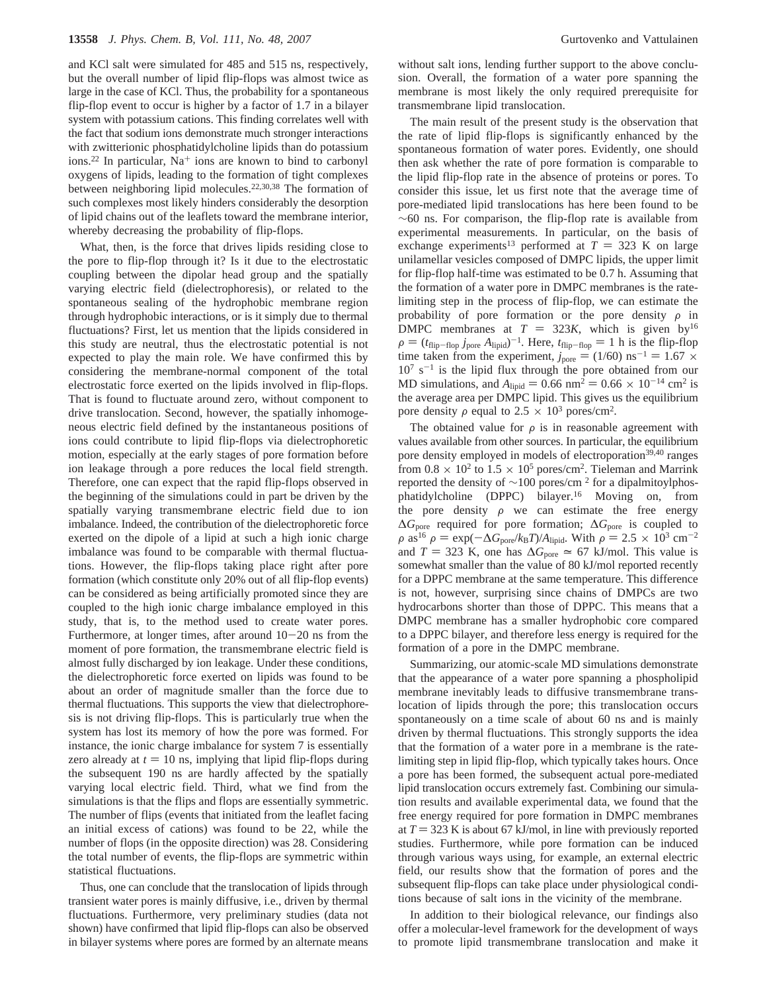and KCl salt were simulated for 485 and 515 ns, respectively, but the overall number of lipid flip-flops was almost twice as large in the case of KCl. Thus, the probability for a spontaneous flip-flop event to occur is higher by a factor of 1.7 in a bilayer system with potassium cations. This finding correlates well with the fact that sodium ions demonstrate much stronger interactions with zwitterionic phosphatidylcholine lipids than do potassium  $\mu$ ions.<sup>22</sup> In particular, Na<sup>+</sup> ions are known to bind to carbonyl oxygens of lipids, leading to the formation of tight complexes between neighboring lipid molecules.22,30,38 The formation of such complexes most likely hinders considerably the desorption of lipid chains out of the leaflets toward the membrane interior, whereby decreasing the probability of flip-flops.

What, then, is the force that drives lipids residing close to the pore to flip-flop through it? Is it due to the electrostatic coupling between the dipolar head group and the spatially varying electric field (dielectrophoresis), or related to the spontaneous sealing of the hydrophobic membrane region through hydrophobic interactions, or is it simply due to thermal fluctuations? First, let us mention that the lipids considered in this study are neutral, thus the electrostatic potential is not expected to play the main role. We have confirmed this by considering the membrane-normal component of the total electrostatic force exerted on the lipids involved in flip-flops. That is found to fluctuate around zero, without component to drive translocation. Second, however, the spatially inhomogeneous electric field defined by the instantaneous positions of ions could contribute to lipid flip-flops via dielectrophoretic motion, especially at the early stages of pore formation before ion leakage through a pore reduces the local field strength. Therefore, one can expect that the rapid flip-flops observed in the beginning of the simulations could in part be driven by the spatially varying transmembrane electric field due to ion imbalance. Indeed, the contribution of the dielectrophoretic force exerted on the dipole of a lipid at such a high ionic charge imbalance was found to be comparable with thermal fluctuations. However, the flip-flops taking place right after pore formation (which constitute only 20% out of all flip-flop events) can be considered as being artificially promoted since they are coupled to the high ionic charge imbalance employed in this study, that is, to the method used to create water pores. Furthermore, at longer times, after around  $10-20$  ns from the moment of pore formation, the transmembrane electric field is almost fully discharged by ion leakage. Under these conditions, the dielectrophoretic force exerted on lipids was found to be about an order of magnitude smaller than the force due to thermal fluctuations. This supports the view that dielectrophoresis is not driving flip-flops. This is particularly true when the system has lost its memory of how the pore was formed. For instance, the ionic charge imbalance for system 7 is essentially zero already at  $t = 10$  ns, implying that lipid flip-flops during the subsequent 190 ns are hardly affected by the spatially varying local electric field. Third, what we find from the simulations is that the flips and flops are essentially symmetric. The number of flips (events that initiated from the leaflet facing an initial excess of cations) was found to be 22, while the number of flops (in the opposite direction) was 28. Considering the total number of events, the flip-flops are symmetric within statistical fluctuations.

Thus, one can conclude that the translocation of lipids through transient water pores is mainly diffusive, i.e., driven by thermal fluctuations. Furthermore, very preliminary studies (data not shown) have confirmed that lipid flip-flops can also be observed in bilayer systems where pores are formed by an alternate means

without salt ions, lending further support to the above conclusion. Overall, the formation of a water pore spanning the membrane is most likely the only required prerequisite for transmembrane lipid translocation.

The main result of the present study is the observation that the rate of lipid flip-flops is significantly enhanced by the spontaneous formation of water pores. Evidently, one should then ask whether the rate of pore formation is comparable to the lipid flip-flop rate in the absence of proteins or pores. To consider this issue, let us first note that the average time of pore-mediated lipid translocations has here been found to be  $~\sim$ 60 ns. For comparison, the flip-flop rate is available from experimental measurements. In particular, on the basis of exchange experiments<sup>13</sup> performed at  $T = 323$  K on large unilamellar vesicles composed of DMPC lipids, the upper limit for flip-flop half-time was estimated to be 0.7 h. Assuming that the formation of a water pore in DMPC membranes is the ratelimiting step in the process of flip-flop, we can estimate the probability of pore formation or the pore density  $\rho$  in DMPC membranes at  $T = 323K$ , which is given by<sup>16</sup>  $\rho = (t_{flip-flop} j_{pore} A_{lipid})^{-1}$ . Here,  $t_{flip-flop} = 1$  h is the flip-flop time taken from the experiment,  $j_{\text{pore}} = (1/60) \text{ ns}^{-1} = 1.67 \times$  $10^7$  s<sup>-1</sup> is the lipid flux through the pore obtained from our MD simulations, and  $A_{\text{lipid}} = 0.66 \text{ nm}^2 = 0.66 \times 10^{-14} \text{ cm}^2 \text{ is}$ the average area per DMPC lipid. This gives us the equilibrium pore density  $\rho$  equal to 2.5  $\times$  10<sup>3</sup> pores/cm<sup>2</sup>.

The obtained value for  $\rho$  is in reasonable agreement with values available from other sources. In particular, the equilibrium pore density employed in models of electroporation<sup>39,40</sup> ranges from  $0.8 \times 10^2$  to  $1.5 \times 10^5$  pores/cm<sup>2</sup>. Tieleman and Marrink reported the density of ∼100 pores/cm <sup>2</sup> for a dipalmitoylphosphatidylcholine (DPPC) bilayer.16 Moving on, from the pore density  $\rho$  we can estimate the free energy  $\Delta G_{\text{pore}}$  required for pore formation;  $\Delta G_{\text{pore}}$  is coupled to  $\rho$  as<sup>16</sup>  $\rho = \exp(-\Delta G_{\text{pore}}/k_BT)/A_{\text{lipid}}$ . With  $\rho = 2.5 \times 10^3 \text{ cm}^{-2}$ and *T* = 323 K, one has  $\Delta G_{\text{pore}} \approx 67$  kJ/mol. This value is somewhat smaller than the value of 80 kJ/mol reported recently for a DPPC membrane at the same temperature. This difference is not, however, surprising since chains of DMPCs are two hydrocarbons shorter than those of DPPC. This means that a DMPC membrane has a smaller hydrophobic core compared to a DPPC bilayer, and therefore less energy is required for the formation of a pore in the DMPC membrane.

Summarizing, our atomic-scale MD simulations demonstrate that the appearance of a water pore spanning a phospholipid membrane inevitably leads to diffusive transmembrane translocation of lipids through the pore; this translocation occurs spontaneously on a time scale of about 60 ns and is mainly driven by thermal fluctuations. This strongly supports the idea that the formation of a water pore in a membrane is the ratelimiting step in lipid flip-flop, which typically takes hours. Once a pore has been formed, the subsequent actual pore-mediated lipid translocation occurs extremely fast. Combining our simulation results and available experimental data, we found that the free energy required for pore formation in DMPC membranes at  $T = 323$  K is about 67 kJ/mol, in line with previously reported studies. Furthermore, while pore formation can be induced through various ways using, for example, an external electric field, our results show that the formation of pores and the subsequent flip-flops can take place under physiological conditions because of salt ions in the vicinity of the membrane.

In addition to their biological relevance, our findings also offer a molecular-level framework for the development of ways to promote lipid transmembrane translocation and make it